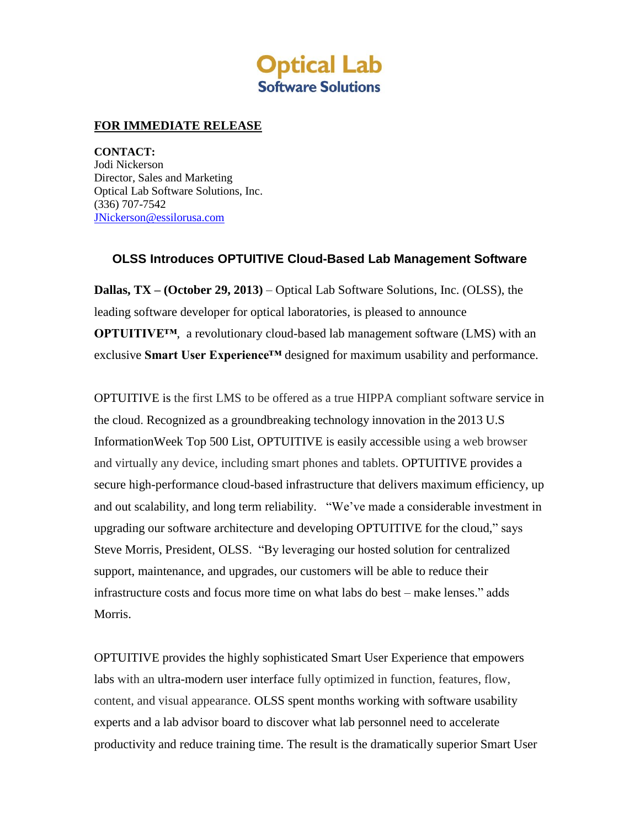

## **FOR IMMEDIATE RELEASE**

**CONTACT:** Jodi Nickerson Director, Sales and Marketing Optical Lab Software Solutions, Inc. (336) 707-7542 [JNickerson@essilorusa.com](mailto:JNickerson@essilorusa.com)

## **OLSS Introduces OPTUITIVE Cloud-Based Lab Management Software**

**Dallas, TX – (October 29, 2013)** – Optical Lab Software Solutions, Inc. (OLSS), the leading software developer for optical laboratories, is pleased to announce **OPTUITIVE™**, a revolutionary cloud-based lab management software (LMS) with an exclusive **Smart User Experience™** designed for maximum usability and performance.

OPTUITIVE is the first LMS to be offered as a true HIPPA compliant software service in the cloud. Recognized as a groundbreaking technology innovation in the 2013 U.S InformationWeek Top 500 List, OPTUITIVE is easily accessible using a web browser and virtually any device, including smart phones and tablets. OPTUITIVE provides a secure high-performance cloud-based infrastructure that delivers maximum efficiency, up and out scalability, and long term reliability. "We've made a considerable investment in upgrading our software architecture and developing OPTUITIVE for the cloud," says Steve Morris, President, OLSS. "By leveraging our hosted solution for centralized support, maintenance, and upgrades, our customers will be able to reduce their infrastructure costs and focus more time on what labs do best – make lenses." adds Morris.

OPTUITIVE provides the highly sophisticated Smart User Experience that empowers labs with an ultra-modern user interface fully optimized in function, features, flow, content, and visual appearance. OLSS spent months working with software usability experts and a lab advisor board to discover what lab personnel need to accelerate productivity and reduce training time. The result is the dramatically superior Smart User